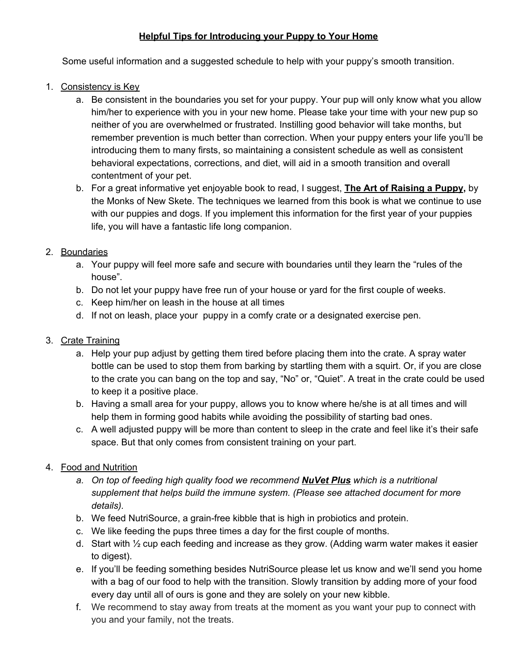## **Helpful Tips for Introducing your Puppy to Your Home**

Some useful information and a suggested schedule to help with your puppy's smooth transition.

- 1. Consistency is Key
	- a. Be consistent in the boundaries you set for your puppy. Your pup will only know what you allow him/her to experience with you in your new home. Please take your time with your new pup so neither of you are overwhelmed or frustrated. Instilling good behavior will take months, but remember prevention is much better than correction. When your puppy enters your life you'll be introducing them to many firsts, so maintaining a consistent schedule as well as consistent behavioral expectations, corrections, and diet, will aid in a smooth transition and overall contentment of your pet.
	- b. For a great informative yet enjoyable book to read, I suggest, **The Art of Raising a Puppy,** by the Monks of New Skete. The techniques we learned from this book is what we continue to use with our puppies and dogs. If you implement this information for the first year of your puppies life, you will have a fantastic life long companion.

## 2. Boundaries

- a. Your puppy will feel more safe and secure with boundaries until they learn the "rules of the house".
- b. Do not let your puppy have free run of your house or yard for the first couple of weeks.
- c. Keep him/her on leash in the house at all times
- d. If not on leash, place your puppy in a comfy crate or a designated exercise pen.

## 3. Crate Training

- a. Help your pup adjust by getting them tired before placing them into the crate. A spray water bottle can be used to stop them from barking by startling them with a squirt. Or, if you are close to the crate you can bang on the top and say, "No" or, "Quiet". A treat in the crate could be used to keep it a positive place.
- b. Having a small area for your puppy, allows you to know where he/she is at all times and will help them in forming good habits while avoiding the possibility of starting bad ones.
- c. A well adjusted puppy will be more than content to sleep in the crate and feel like it's their safe space. But that only comes from consistent training on your part.
- 4. Food and Nutrition
	- *a. On top of feeding high quality food we recommend NuVet Plus which is a nutritional supplement that helps build the immune system. (Please see attached document for more details).*
	- b. We feed NutriSource, a grain-free kibble that is high in probiotics and protein.
	- c. We like feeding the pups three times a day for the first couple of months.
	- d. Start with ½ cup each feeding and increase as they grow. (Adding warm water makes it easier to digest).
	- e. If you'll be feeding something besides NutriSource please let us know and we'll send you home with a bag of our food to help with the transition. Slowly transition by adding more of your food every day until all of ours is gone and they are solely on your new kibble.
	- f. We recommend to stay away from treats at the moment as you want your pup to connect with you and your family, not the treats.